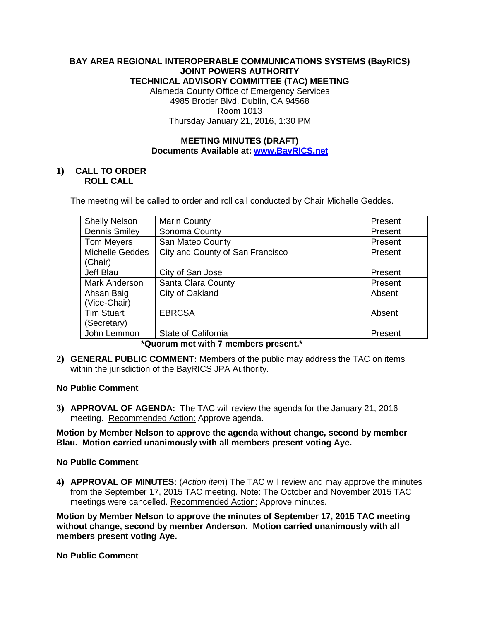# **BAY AREA REGIONAL INTEROPERABLE COMMUNICATIONS SYSTEMS (BayRICS) JOINT POWERS AUTHORITY TECHNICAL ADVISORY COMMITTEE (TAC) MEETING**

Alameda County Office of Emergency Services 4985 Broder Blvd, Dublin, CA 94568 Room 1013 Thursday January 21, 2016, 1:30 PM

# **MEETING MINUTES (DRAFT) Documents Available at: [www.BayRICS.net](http://www.bayrics.net/)**

# **1) CALL TO ORDER ROLL CALL**

The meeting will be called to order and roll call conducted by Chair Michelle Geddes.

| <b>Shelly Nelson</b>   | <b>Marin County</b>              | Present |
|------------------------|----------------------------------|---------|
| <b>Dennis Smiley</b>   | Sonoma County                    | Present |
| <b>Tom Meyers</b>      | San Mateo County                 | Present |
| <b>Michelle Geddes</b> | City and County of San Francisco | Present |
| (Chair)                |                                  |         |
| Jeff Blau              | City of San Jose                 | Present |
| Mark Anderson          | Santa Clara County               | Present |
| Ahsan Baig             | City of Oakland                  | Absent  |
| (Vice-Chair)           |                                  |         |
| <b>Tim Stuart</b>      | <b>EBRCSA</b>                    | Absent  |
| (Secretary)            |                                  |         |
| John Lemmon            | State of California              | Present |

# **\*Quorum met with 7 members present.\***

**2) GENERAL PUBLIC COMMENT:** Members of the public may address the TAC on items within the jurisdiction of the BayRICS JPA Authority.

# **No Public Comment**

**3) APPROVAL OF AGENDA:** The TAC will review the agenda for the January 21, 2016 meeting. Recommended Action: Approve agenda.

**Motion by Member Nelson to approve the agenda without change, second by member Blau. Motion carried unanimously with all members present voting Aye.**

### **No Public Comment**

**4) APPROVAL OF MINUTES:** (*Action item*) The TAC will review and may approve the minutes from the September 17, 2015 TAC meeting. Note: The October and November 2015 TAC meetings were cancelled. Recommended Action: Approve minutes.

**Motion by Member Nelson to approve the minutes of September 17, 2015 TAC meeting without change, second by member Anderson. Motion carried unanimously with all members present voting Aye.**

**No Public Comment**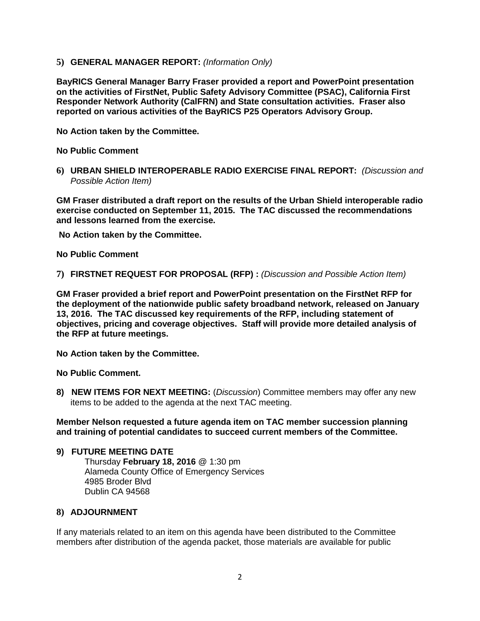**5) GENERAL MANAGER REPORT:** *(Information Only)*

**BayRICS General Manager Barry Fraser provided a report and PowerPoint presentation on the activities of FirstNet, Public Safety Advisory Committee (PSAC), California First Responder Network Authority (CalFRN) and State consultation activities. Fraser also reported on various activities of the BayRICS P25 Operators Advisory Group.** 

**No Action taken by the Committee.**

**No Public Comment**

**6) URBAN SHIELD INTEROPERABLE RADIO EXERCISE FINAL REPORT:** *(Discussion and Possible Action Item)* 

**GM Fraser distributed a draft report on the results of the Urban Shield interoperable radio exercise conducted on September 11, 2015. The TAC discussed the recommendations and lessons learned from the exercise.**

**No Action taken by the Committee.**

**No Public Comment**

**7) FIRSTNET REQUEST FOR PROPOSAL (RFP) :** *(Discussion and Possible Action Item)*

**GM Fraser provided a brief report and PowerPoint presentation on the FirstNet RFP for the deployment of the nationwide public safety broadband network, released on January 13, 2016. The TAC discussed key requirements of the RFP, including statement of objectives, pricing and coverage objectives. Staff will provide more detailed analysis of the RFP at future meetings.**

**No Action taken by the Committee.**

**No Public Comment.**

**8) NEW ITEMS FOR NEXT MEETING:** (*Discussion*) Committee members may offer any new items to be added to the agenda at the next TAC meeting.

**Member Nelson requested a future agenda item on TAC member succession planning and training of potential candidates to succeed current members of the Committee.**

### **9) FUTURE MEETING DATE**

Thursday **February 18, 2016** @ 1:30 pm Alameda County Office of Emergency Services 4985 Broder Blvd Dublin CA 94568

### **8) ADJOURNMENT**

If any materials related to an item on this agenda have been distributed to the Committee members after distribution of the agenda packet, those materials are available for public